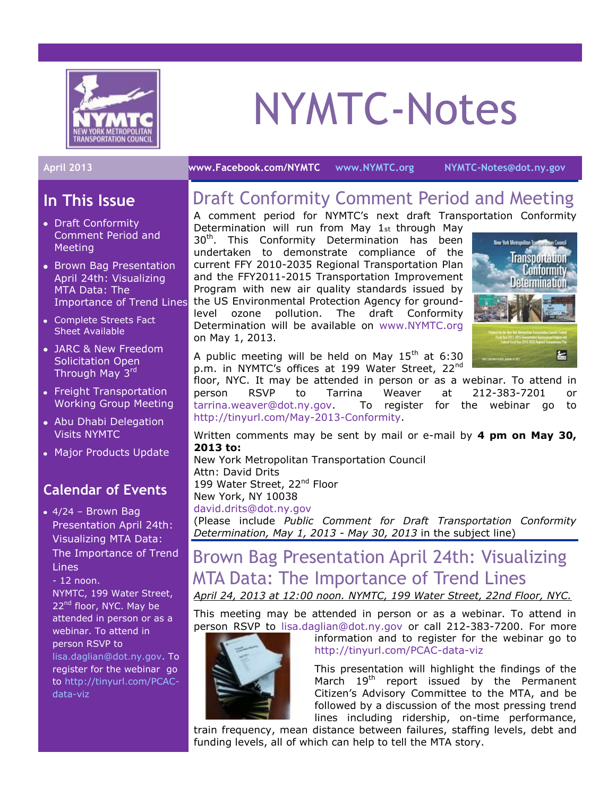

# NYMTC-Notes

## **In This Issue**

- Draft Conformity Comment Period and Meeting
- Brown Bag Presentation April 24th: Visualizing MTA Data: The Importance of Trend Lines
- Complete Streets Fact Sheet Available
- JARC & New Freedom Solicitation Open Through May 3rd
- Freight Transportation Working Group Meeting
- Abu Dhabi Delegation Visits NYMTC
- Major Products Update

### **Calendar of Events**

 $\bullet$  4/24 – Brown Bag Presentation April 24th: Visualizing MTA Data: The Importance of Trend Lines

- 12 noon.

NYMTC, 199 Water Street, 22<sup>nd</sup> floor, NYC. May be attended in person or as a webinar. To attend in person RSVP to [lisa.daglian@dot.ny.gov.](mailto:lisa.daglian@dot.ny.gov) To register for the webinar go to [http://tinyurl.com/PCAC](http://tinyurl.com/PCAC-data-viz)[data-viz](http://tinyurl.com/PCAC-data-viz)

#### **April 2013 [www.Facebook.com/NYMTC](http://www.facebook.com/NYMTC) [www.NYMTC.org](http://www.nymtc.org/) [NYMTC-Notes@dot.ny.gov](mailto:NYMTC-Notes@dot.ny.gov)**

# Draft Conformity Comment Period and Meeting

A comment period for NYMTC's next draft Transportation Conformity Determination will run from May 1st through May 30<sup>th</sup>. This Conformity Determination has been undertaken to demonstrate compliance of the current FFY 2010-2035 Regional Transportation Plan and the FFY2011-2015 Transportation Improvement Program with new air quality standards issued by the US Environmental Protection Agency for groundlevel ozone pollution. The draft Conformity Determination will be available on [www.NYMTC.org](http://www.nymtc.org/) on May 1, 2013.



A public meeting will be held on May  $15<sup>th</sup>$  at 6:30 p.m. in NYMTC's offices at 199 Water Street, 22<sup>nd</sup>

floor, NYC. It may be attended in person or as a webinar. To attend in person RSVP to Tarrina Weaver at 212-383-7201 or [tarrina.weaver@dot.ny.gov.](mailto:tarrina.weaver@dot.ny.gov) To register for the webinar go to [http://tinyurl.com/May-2013-Conformity.](http://tinyurl.com/May-2013-Conformity)

Written comments may be sent by mail or e-mail by **4 pm on May 30, 2013 to:**

New York Metropolitan Transportation Council Attn: David Drits 199 Water Street, 22<sup>nd</sup> Floor New York, NY 10038 [david.drits@dot.ny.gov](mailto:david.drits@dot.ny.gov?subject=Public%20Comment%20for%20Draft%20Transportation%20Conformity%20Determination,%20May%201,%202013%20-%20May%2030,%202013)

(Please include *Public Comment for Draft Transportation Conformity Determination, May 1, 2013 - May 30, 2013* in the subject line)

# Brown Bag Presentation April 24th: Visualizing MTA Data: The Importance of Trend Lines

*April 24, 2013 at 12:00 noon. NYMTC, 199 Water Street, 22nd Floor, NYC.*

This meeting may be attended in person or as a webinar. To attend in person RSVP to lisa.daglian@dot.ny.gov or call 212-383-7200. For more



information and to register for the webinar go to <http://tinyurl.com/PCAC-data-viz>

This presentation will highlight the findings of the March 19<sup>th</sup> report issued by the Permanent Citizen's Advisory Committee to the MTA, and be followed by a discussion of the most pressing trend lines including ridership, on-time performance,

train frequency, mean distance between failures, staffing levels, debt and funding levels, all of which can help to tell the MTA story.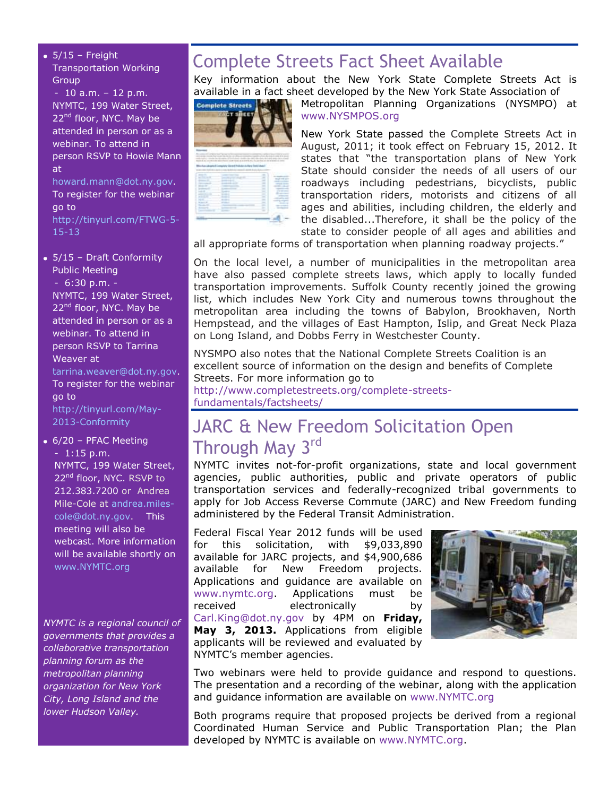$• 5/15 - Freight$ Transportation Working **Group** 

- 10 a.m. – 12 p.m. NYMTC, 199 Water Street, 22<sup>nd</sup> floor, NYC. May be attended in person or as a webinar. To attend in person RSVP to Howie Mann at [howard.mann@dot.ny.gov.](mailto:howard.mann@dot.ny.gov)

To register for the webinar go to [http://tinyurl.com/FTWG-5-](http://tinyurl.com/FTWG-5-15-13) [15-13](http://tinyurl.com/FTWG-5-15-13)

5/15 – Draft Conformity Public Meeting - 6:30 p.m. - NYMTC, 199 Water Street, 22<sup>nd</sup> floor, NYC. May be attended in person or as a webinar. To attend in person RSVP to Tarrina Weaver at [tarrina.weaver@dot.ny.gov.](mailto:tarrina.weaver@dot.ny.gov)

To register for the webinar go to [http://tinyurl.com/May-](http://tinyurl.com/May-2013-Conformity)[2013-Conformity](http://tinyurl.com/May-2013-Conformity)

6/20 – PFAC Meeting - 1:15 p.m. NYMTC, 199 Water Street, 22<sup>nd</sup> floor, NYC. RSVP to 212.383.7200 or Andrea Mile-Cole at [andrea.miles](mailto:andrea.miles-cole@dot.ny.gov)[cole@dot.ny.gov.](mailto:andrea.miles-cole@dot.ny.gov) This meeting will also be webcast. More information will be available shortly on [www.NYMTC.org](http://www.nymtc.org/)

*NYMTC is a regional council of governments that provides a collaborative transportation planning forum as the metropolitan planning organization for New York City, Long Island and the lower Hudson Valley.*

# Complete Streets Fact Sheet Available

Key information about the New York State Complete Streets Act is available in a fact sheet developed by the New York State Association of



Metropolitan Planning Organizations (NYSMPO) at [www.NYSMPOS.org](http://www.nysmpos.org/)

New York State passed the Complete Streets Act in August, 2011; it took effect on February 15, 2012. It states that "the transportation plans of New York State should consider the needs of all users of our roadways including pedestrians, bicyclists, public transportation riders, motorists and citizens of all ages and abilities, including children, the elderly and the disabled...Therefore, it shall be the policy of the state to consider people of all ages and abilities and

all appropriate forms of transportation when planning roadway projects."

On the local level, a number of municipalities in the metropolitan area have also passed complete streets laws, which apply to locally funded transportation improvements. Suffolk County recently joined the growing list, which includes New York City and numerous towns throughout the metropolitan area including the towns of Babylon, Brookhaven, North Hempstead, and the villages of East Hampton, Islip, and Great Neck Plaza on Long Island, and Dobbs Ferry in Westchester County.

NYSMPO also notes that the National Complete Streets Coalition is an excellent source of information on the design and benefits of Complete Streets. For more information go to

[http://www.completestreets.org/complete-streets](http://www.completestreets.org/complete-streets-fundamentals/factsheets/)[fundamentals/factsheets/](http://www.completestreets.org/complete-streets-fundamentals/factsheets/)

# JARC & New Freedom Solicitation Open Through May 3rd

NYMTC invites not-for-profit organizations, state and local government agencies, public authorities, public and private operators of public transportation services and federally-recognized tribal governments to apply for [Job Access Reverse Commute \(JARC\)](http://www.nymtc.org/project/PTHSP/jarc5316.html) and [New Freedom](http://www.nymtc.org/project/PTHSP/freedom5317.html) funding administered by the Federal Transit Administration.

Federal Fiscal Year 2012 funds will be used for this solicitation, with \$9,033,890 available for JARC projects, and \$4,900,686 available for New Freedom projects. Applications and guidance are available on [www.nymtc.org.](http://www.nymtc.org/) Applications must be received electronically by [Carl.King@dot.ny.gov](mailto:Carl.King@dot.ny.gov) by 4PM on **Friday, May 3, 2013.** Applications from eligible applicants will be reviewed and evaluated by NYMTC's member agencies.



Two webinars were held to provide guidance and respond to questions. The presentation and a recording of the webinar, along with the application and guidance information are available on [www.NYMTC.org](http://www.nymtc.org/)

Both programs require that proposed projects be derived from a regional Coordinated Human Service and Public Transportation Plan; the Plan developed by NYMTC is available on [www.NYMTC.org.](http://www.nymtc.org/)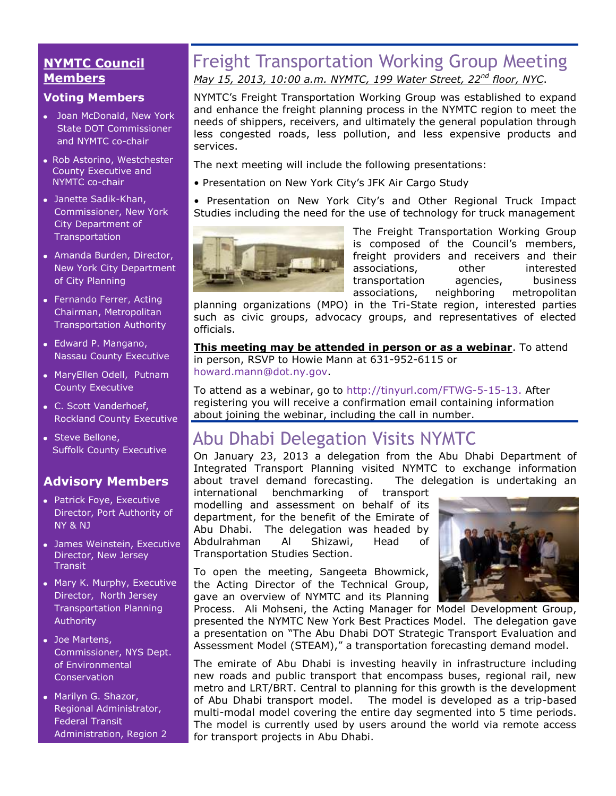#### **NYMTC Council Members**

#### **Voting Members**

- Joan McDonald, New York State DOT Commissioner and NYMTC co-chair
- Rob Astorino, Westchester County Executive and NYMTC co-chair
- Janette Sadik-Khan, Commissioner, New York City Department of Transportation
- Amanda Burden, Director, New York City Department of City Planning
- [Fernando Ferrer,](http://www.mta.info/mta/leadership/ferrer.htm) Acting Chairman, Metropolitan Transportation Authority
- Edward P. Mangano, Nassau County Executive
- MaryEllen Odell, Putnam County Executive
- C. Scott Vanderhoef, Rockland County Executive
- Steve Bellone, Suffolk County Executive

#### **Advisory Members**

- Patrick Foye, Executive Director, Port Authority of NY & NJ
- James Weinstein, Executive Director, New Jersey **Transit**
- Mary K. Murphy, Executive Director, North Jersey Transportation Planning Authority
- Joe Martens, Commissioner, NYS Dept. of Environmental **Conservation**
- Marilyn G. Shazor, Regional Administrator, Federal Transit Administration, Region 2

# Freight Transportation Working Group Meeting *May 15, 2013, 10:00 a.m. NYMTC, 199 Water Street, 22nd floor, NYC*.

NYMTC's Freight Transportation Working Group was established to expand and enhance the freight planning process in the NYMTC region to meet the needs of shippers, receivers, and ultimately the general population through less congested roads, less pollution, and less expensive products and services.

The next meeting will include the following presentations:

- Presentation on New York City's JFK Air Cargo Study
- Presentation on New York City's and Other Regional Truck Impact Studies including the need for the use of technology for truck management



The Freight Transportation Working Group is composed of the Council's members, freight providers and receivers and their associations, other interested transportation agencies, business associations, neighboring metropolitan

planning organizations (MPO) in the Tri-State region, interested parties such as civic groups, advocacy groups, and representatives of elected officials.

**This meeting may be attended in person or as a webinar**. To attend in person, RSVP to Howie Mann at 631-952-6115 or [howard.mann@dot.ny.gov.](mailto:howard.mann@dot.ny.gov)

To attend as a webinar, go to [http://tinyurl.com/FTWG-5-15-13.](http://tinyurl.com/FTWG-5-15-13) After registering you will receive a confirmation email containing information about joining the webinar, including the call in number.

# Abu Dhabi Delegation Visits NYMTC

On January 23, 2013 a delegation from the Abu Dhabi Department of Integrated Transport Planning visited NYMTC to exchange information about travel demand forecasting. The delegation is undertaking an

international benchmarking of transport modelling and assessment on behalf of its department, for the benefit of the Emirate of Abu Dhabi. The delegation was headed by Abdulrahman Al Shizawi, Head of Transportation Studies Section.

To open the meeting, Sangeeta Bhowmick, the Acting Director of the Technical Group, gave an overview of NYMTC and its Planning



Process.Ali Mohseni, the Acting Manager for Model Development Group, presented the NYMTC New York Best Practices Model. The delegation gave a presentation on "The Abu Dhabi DOT Strategic Transport Evaluation and Assessment Model (STEAM)," a transportation forecasting demand model.

The emirate of Abu Dhabi is investing heavily in infrastructure including new roads and public transport that encompass buses, regional rail, new metro and LRT/BRT. Central to planning for this growth is the development of Abu Dhabi transport model. The model is developed as a trip-based multi-modal model covering the entire day segmented into 5 time periods. The model is currently used by users around the world via remote access for transport projects in Abu Dhabi.